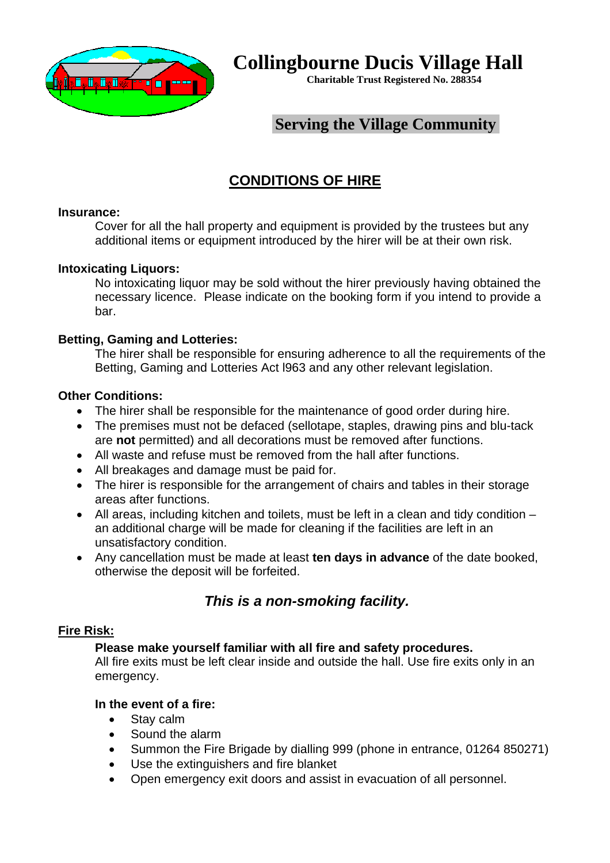

**Collingbourne Ducis Village Hall**

**Charitable Trust Registered No. 288354**

## **Serving the Village Community**

# **CONDITIONS OF HIRE**

### **Insurance:**

Cover for all the hall property and equipment is provided by the trustees but any additional items or equipment introduced by the hirer will be at their own risk.

### **Intoxicating Liquors:**

No intoxicating liquor may be sold without the hirer previously having obtained the necessary licence. Please indicate on the booking form if you intend to provide a bar.

### **Betting, Gaming and Lotteries:**

The hirer shall be responsible for ensuring adherence to all the requirements of the Betting, Gaming and Lotteries Act l963 and any other relevant legislation.

### **Other Conditions:**

- The hirer shall be responsible for the maintenance of good order during hire.
- The premises must not be defaced (sellotape, staples, drawing pins and blu-tack are **not** permitted) and all decorations must be removed after functions.
- All waste and refuse must be removed from the hall after functions.
- All breakages and damage must be paid for.
- The hirer is responsible for the arrangement of chairs and tables in their storage areas after functions.
- All areas, including kitchen and toilets, must be left in a clean and tidy condition an additional charge will be made for cleaning if the facilities are left in an unsatisfactory condition.
- Any cancellation must be made at least **ten days in advance** of the date booked, otherwise the deposit will be forfeited.

### *This is a non-smoking facility.*

### **Fire Risk:**

### **Please make yourself familiar with all fire and safety procedures.**

All fire exits must be left clear inside and outside the hall. Use fire exits only in an emergency.

#### **In the event of a fire:**

- Stay calm
- Sound the alarm
- Summon the Fire Brigade by dialling 999 (phone in entrance, 01264 850271)
- Use the extinguishers and fire blanket
- Open emergency exit doors and assist in evacuation of all personnel.